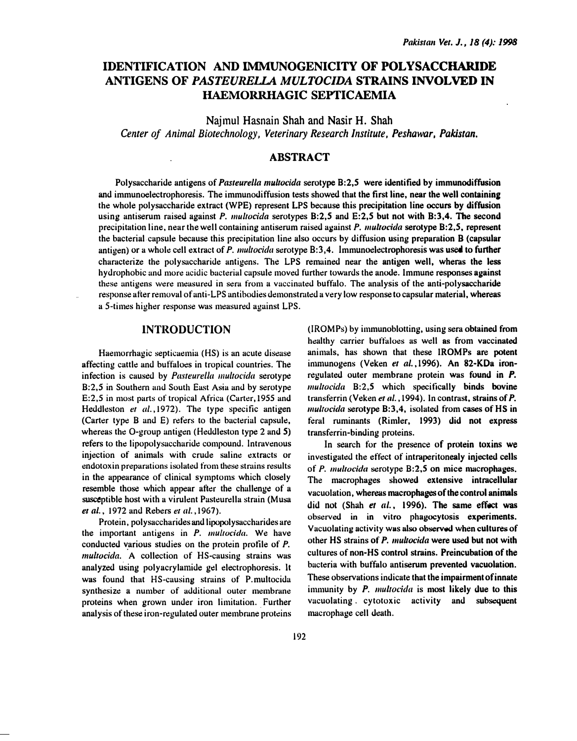# IDENTIFICATION AND IMMUNOGENICITY OF POLYSACCHARIDE ANTIGENS OF PASTEURELLA MULTOCIDA STRAINS INVOLVED IN HAEMORRHAGIC SEPTICAEMIA

Najmul Hasnain Shah and Nasir H. Shah Center of Animal Biotechnology, Veterinary Research Institute, Peshawar, Pakistan.

# ABSTRACT

Polysaccharide antigens of Pasteurella multocida serotype B:2,5 were identified by immunodiffusion and immunoelectrophoresis. The immunodiffusion tests showed that the first line, near the well containing the whole polysaccharide extract (WPE) represent LPS because this precipitation line occurs by diffusion using antiserum raised against P. multocida serotypes B:2,5 and E:2,5 but not with B:3,4. The second precipitation line, near the well containing antiserum raised against P. multocida serotype B:2,5, represent the bacterial.capsule because this precipitation line also occurs by diffusion using preparation B (capsular antigen) or a whole cell extract of P. multocida serotype B:3,4. Immunoelectrophoresis was used to further characterize the polysaccharide antigens. The LPS remained near the antigen well, wheras the less hydrophobic and more acidic bacterial capsule moved further towards the anode. Immune responses against these antigens were measured in sera from a vaccinated buffalo. The analysis of the anti-polysaccharide response after removal of anti-LPS antibodies demonstrated a very low response to capsular material, whereas a 5-times higher response was measured against LPS.

## **INTRODUCTION**

Haemorrhagic septicaemia (HS) is an acute disease affecting cattle and buffaloes in tropical countries. The infection is caused by Pasteurella multocida serotype B:2,5 in Southern und South East Asia and by serotype E:2,5 in most parts of tropical Africa (Carter, 1955 and Heddleston et al., 1972). The type specific antigen (Carter type B and E) refers to the bacterial capsule, whereas the 0-group antigen (Heddleston type 2 and 5) refers to the lipopolysaccharide compound. Intravenous injection of animals with crude saline extracts or endotoxin preparations isolated from these strains results in the appearance of clinical symptoms which closely resemble those which appear after the challenge of a susceptible host with a virulent Pasteurella strain (Musa et al., 1972 and Rebers er al. ,1967).

Protein, polysaccharides and lipopolysacchurides are the important antigens in  $P$ . multocida. We have conducted �arious studies on the protein protile of P. multocida. A collection of HS-causing strains was analyzed using polyacrylamide gel electrophoresis. lt was found that HS-causing strains of P.multocida synthesize a number of additional outer membrane proteins when grown under iron limitation. Further analysis of these iron-regulated outer membrane proteins (!ROMPs) by immunoblotting, using sera obtained from healthy carrier buffaloes as well as from vaccinated animals, has shown that these IROMPs are potent inimunogens (Veken et al., 1996). An 82-KDa ironregulated outer membrane protein was found in P.  $multocida$  B:2,5 which specifically binds bovine transferrin (Veken et al., 1994). In contrast, strains of P.  $multocida$  serotype  $B:3,4$ , isolated from cases of HS in t�ral ruminants (Rimier, 1993) did not express transferrin-binding proteins.

In search for the presence of protein toxins we investigated the effect of intraperitonealy injected cells of  $P$ . *multocida* serotype  $B:2,5$  on mice macrophages. The macrophages showed extensive intracellular vacuolation. whereas macrophages of the control animals did not (Shah et al., 1996). The same effect was observed in in vitro phagocytosis experiments. Vacuolating activity was also observed when cultures of other HS strains of P. multocida were used but not with cultures of non-HS control strains. Preincubation of the bacteria with buffalo antiserum prevented vacuolation. These observations indicate that the impairment of innate immunity by P. multocida is most likely due to this vacuolating. cytotoxic activity and subsequent macrophage cell death.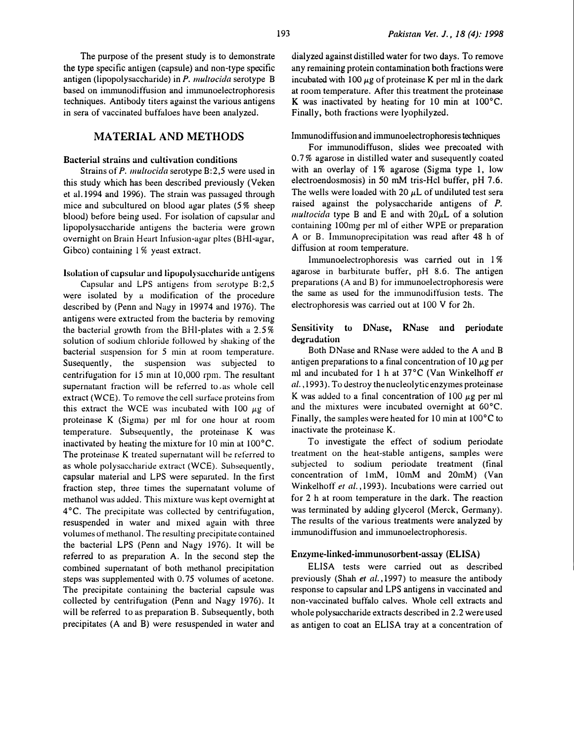The purpose of the present study is to demonstrate the type specific antigen (capsule) and non-type specific antigen (lipopolysaccharide) in P. multocida serotype B based on immunodiffusion and immunoelectrophoresis techniques. Antibody titers against the various antigens in sera of vaccinated buffaloes have been analyzed.

# MATERIAL AND METHODS

#### Bacterial strains and cultivation conditions

Strains of P. multocida serotype B:2,5 were used in this study which has been described previously (Veken et al.l994 and 1996). The strain was passaged through mice and subcultured on blood agar plates (5% sheep blood) before being used. For isolation of capsular and lipopolysnccharide antigens the bacteria were grown overnight on Brain Heart Infusion-agar pltes (BHI-agar, Gibco) containing 1% yeast extract.

#### Isolation of capsular and lipopolysaccharide antigens

Capsular and LPS antigens from serotype B:2,5 were isolated by a modification of the procedure described by (Penn and Nagy in 19974 and 1976). The antigens were extracted from the bacteria by removing the bacterial growth from the BHl-plates with a 2.5% solution of sodium chloride followed hy shaking of the bacterial suspension for 5 min at room temperature. Susequently, the suspension was subjected to centrifugation for 15 min at 10,000 rpm. The resultant supernatant fraction will be referred to as whole cell extract (WCE). To remove the cell surface proteins from this extract the WCE was incubated with 100  $\mu$ g of proteinase K (Sigma) per ml for one hour at room temperature. Subsequently, the proteinase K was inactivated by heating the mixture for lO min at 100°C. The proteinase K treated supernatant will he referred to as whole polysaccharide extract (WCE). Subsequently, capsular material and LPS were separated. In the first fraction step, three times the supernatant volume of methanol was added. This mixture was kept overnight at 4 °C. The precipitate was collected by centrifugation, resuspended in water and mixed again with three volumes of methanol. The resulting precipitate contained the bacterial LPS (Penn and Nagy 1976). It will be referred to as prepuration A. In the second step the combined supernatant of both methanol precipitation steps was supplemented with 0. 75 volumes of acetone. The precipitate containing the bacterial capsule was collected by centrifugation (Penn and Nagy 1976). It will be referred to as preparation B. Subsequently, both precipitates (A and B) were resuspended in water and dialyzed against distilled water for two days. To remove any remaining protein contamination both fractions were incubated with 100  $\mu$ g of proteinase K per ml in the dark at room temperature. After this treatment the proteinase K was inactivated by heating for 10 min at 100°C. Finally, both fractions were lyophilyzed.

#### Immunodiffusion and immunoelectrophoresis techniques

For inmmnodiffuson, slides wee precoated with 0.7% agarose in distilled water and susequently coated with an overlay of 1% agarose (Sigma type 1, low electroendosmosis) in 50 mM tris-Hcl buffer, pH 7.6. The wells were loaded with 20  $\mu$ L of undiluted test sera raised against the polysaccharide antigens of P. multocida type B and E and with  $20\mu$ L of a solution containing IOOmg per ml of either WPE or preparation A or B. lmmunoprecipitation was read after 48 h of diffusion at room temperature.

Immunoelectrophoresis was carried out in 1% agarose in barbiturate buffer, pH 8.6. The antigen preparations (A and B) for immunoelectrophoresis were the same as used for the immunodiffusion tests. The electrophoresis was carried out at 100 V for 2h.

#### Sensitivity to DNase, RNase and periodate degradation

Both DNase and RNase were added to the A and B antigen preparations to a final concentration of  $10 \mu g$  per ml and incubated for 1 h at 37°C (Van Winkelhoff et al., 1993). To destroy the nucleolytic enzymes proteinase K was added to a final concentration of 100  $\mu$ g per ml and the mixtures were incubated overnight at 60°C. Finally, the samples were heated for 10 min at 100°C to inactivate the proteinase K.

To investigate the effect of sodium periodate treatment on the heat-stable antigens, samples were subjected to sodium periodate treatment (final concentration of 1mM, 10mM and 20mM) (Van Winkelhoff et al., 1993). Incubations were carried out for 2 h at room temperature in the dark. The reaction was terminated by adding glycerol (Merck, Germany). The results of the various treatments were analyzed by inmmnodiffusion and immunoelectrophoresis.

#### Enzyme-linked-immunosorbent-assay (ELISA)

ELISA tests were carried out as described previously (Shah et al., 1997) to measure the antibody response to capsular and LPS antigens in vaccinated and non-vaccinated buffalo calves. Whole cell extracts and whole polysaccharide extracts described in 2.2 were used as antigen to coat an ELISA tray at a concentration of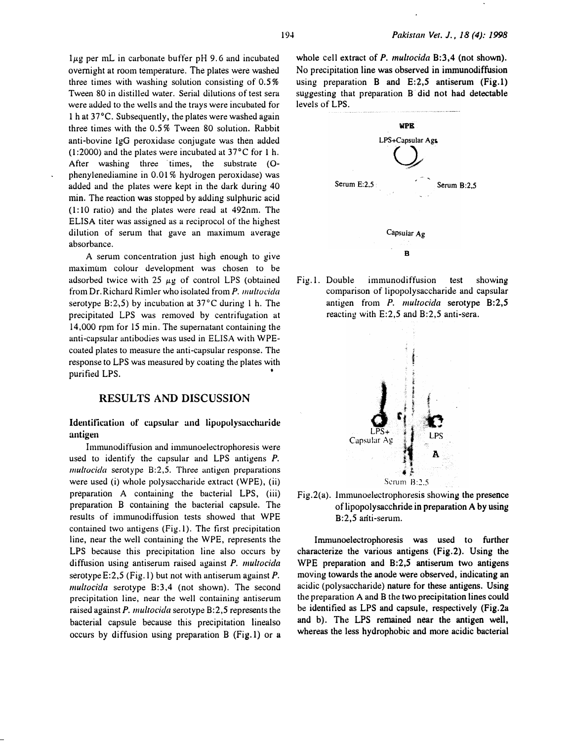$1\mu$ g per mL in carbonate buffer pH 9.6 and incubated overnight at room temperature. The plates were washed three times with washing solution consisting of 0.5% Tween 80 in distilled water. Serial dilutions of test sera were added to the wells and the trays were incubated for 1 h at 37°C. Subsequently, the plates were washed again three times with the 0.5% Tween 80 solution. Rabbit anti-bovine IgG peroxidase conjugate was then added (1:2000) and the plates were incubated at  $37^{\circ}$ C for 1 h. After washing three times, the substrate  $(O$ phenylenediamine in 0.01% hydrogen peroxidase) was added and the plates were kept in the dark during 40 min. The reaction was stopped by adding sulphuric acid ( 1: 10 ratio) and the plates were read at 492nm. The ELISA titer was assigned as a reciprocal of the highest dilution of serum that gave an maximum average absorbance.

A serum concentration just high enough to give maximum colour development was chosen to be adsorbed twice with 25  $\mu$ g of control LPS (obtained from Dr. Richard Rimler who isolated from P. multocida serotype  $B:2,5$ ) by incubation at 37 $\degree$ C during 1 h. The precipitated LPS was removed by centrifugation at 14,000 rpm for 15 min. The supernatant containing the anti-capsular antibodies was used in ELISA with WPEcoated plates to measure the anti-capsular response. The response to LPS was measured by coating the plates with purified LPS.

## RESULTS AND DISCUSSION

# Identification of capsular and lipopolysaccharide antigen

Immunodiffusion and inununoelectrophoresis were used to identify the capsular and LPS antigens P.  $multocida$  serotype  $B:2,5.$  Three antigen preparations were used (i) whole polysaccharide extract (WPE), (ii) preparation A containing the bacterial LPS, (iii) preparation B containing the bacterial capsule. The results of immunodiffusion tests showed that WPE contained two antigens (Fig.l). The first precipitation line, near the well containing the WPE, represents the LPS because this precipitation line also occurs by diffusion using antiserum raised against P. multocida serotype E:2,5 (Fig. 1) but not with antiserum against P. multocida serotype  $B:3,4$  (not shown). The second precipitation line, near the well containing antiserum raised against P. multocida serotype B:2,5 represents the bacterial capsule because this precipitation linealso occurs by diffusion using preparation B (Fig.l) or a whole cell extract of P. multocida B:3,4 (not shown). No precipitation line was observed in immunodiffusion using preparation  $B$  and  $E:2.5$  antiserum (Fig.1) suggesting that preparation B did not had detectable levels of LPS.



Fig. I. Double immunodiffusion test showing comparison of lipopolysaccharide and capsular antigen from P. multocida serotype B:2,5 reacting with E:2,5 and B:2,5 anti-sera.



Fig.2(a). Immunoelectrophoresis showing the presence of lipopolysacchride in preparation A by using B:2,5 anti-serum.

Immunoelectrophoresis was used to further characterize the various antigens (Fig.2). Using the WPE preparation and B:2,5 antiserum two antigens moving towards the anode were observed, indicating an acidic (polysaccharide) nature for these antigens. Using the preparation A and B the two precipitation lines could be identified as LPS and capsule, respectively (Fig.2a and b). The LPS remained near the antigen well, whereas the less hydrophobic and more acidic bacterial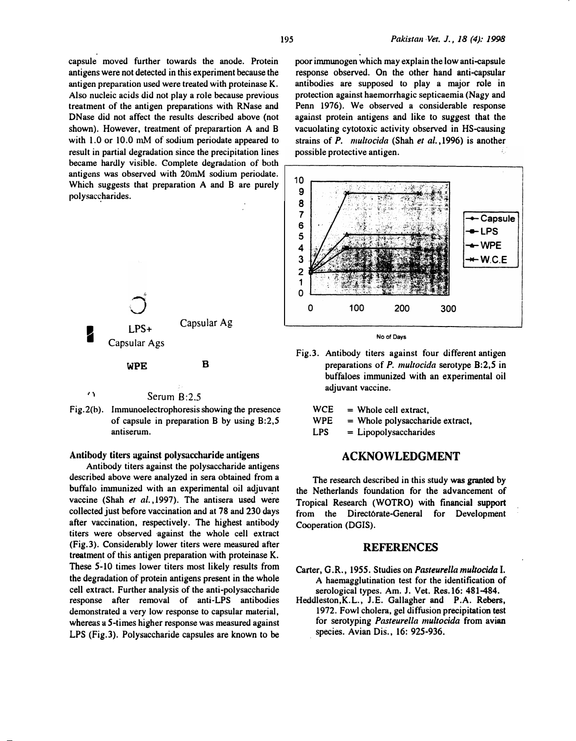capsule moved further towards the anode. Protein antigens were not detected in this experiment because the antigen preparation used were treated with proteinase K. Also nucleic acids did not play a role because previous treatment of the antigen preparations with RNase and DNase did not affect the results described above (not shown). However, treatment of preparartion A and B with 1.0 or 10.0 mM of sodium periodate appeared to result in partial degradation since the precipitation lines became hardly visible. Complete degradation of both antigens was observed with 20mM sodium periodate. Which suggests that preparation A and B are purely polysaccharides.



Serum B:2.5

Fig.2(b). Immunoelectrophoresis showing the presence of capsule in preparation B by using B:2,5 antiserum.

#### Antibody titers against polysaccharide antigens

Antibody titers against the polysaccharide antigens described above were analyzed in sera obtained from a buffalo inununized with an experimental oil adjuvant vaccine (Shah et al., 1997). The antisera used were collected just before vaccination and at 78 and 230 days after vaccination, respectively. The highest antibody titers were observed against the whole cell extract (Fig.3). Considerably lower titers were measured after treatment of this antigen preparation with proteinase K. These 5-10 times lower titers most likely results from the degradation of protein antigens present in the whole cell extract. Further analysis of the anti-polysaccharide response after removal of anti-LPS antibodies demonstrated a very low response to capsular material, whereas a 5-times higher response was measured against LPS (Fig.3). Polysaccharide capsules are known to be

poor immunogen which may explain the low anti-capsule response observed. On the other hand anti-capsular antibodies are supposed to play a major role in protection against haemorrhagic septicaemia (Nagy and Penn 1976). We observed a considerable response against protein antigens and like to suggest that the vacuolating cytotoxic activity observed in HS-causing strains of  $P$ . *multocida* (Shah et al., 1996) is another possible protective antigen.





Fig.3. Antibody titers against four different antigen preparations of P. multocida serotype B:2,5 in buffaloes immunized with an experimental oil adjuvant vaccine.

**WCE** <sup>=</sup>Whole cell extract,

WPE <sup>=</sup>Whole polysaccharide extract,

LPS <sup>=</sup>Lipopolysaccharides

# ACKNOWLEDGMENT

The research described in this study was granted by the Netherlands foundation for the advancement of Tropical Research (WOTRO) with financial support from the Direct6rate-General for Development Cooperation (DGIS).

#### **REFERENCES**

- Carter, G.R., 1955. Studies on Pasteurella multocida I. A haemagglutination test for the identification of serological types. Am. J. Vet. Res. 16: 481-484.
- Heddleston,K.L., J.E. Gallagher and P.A. Rebers, 1972. Fowl cholera, gel diffusion precipitation test for serotyping Pasteurella multocida from avian . species. Avian Dis., 16: 925-936.